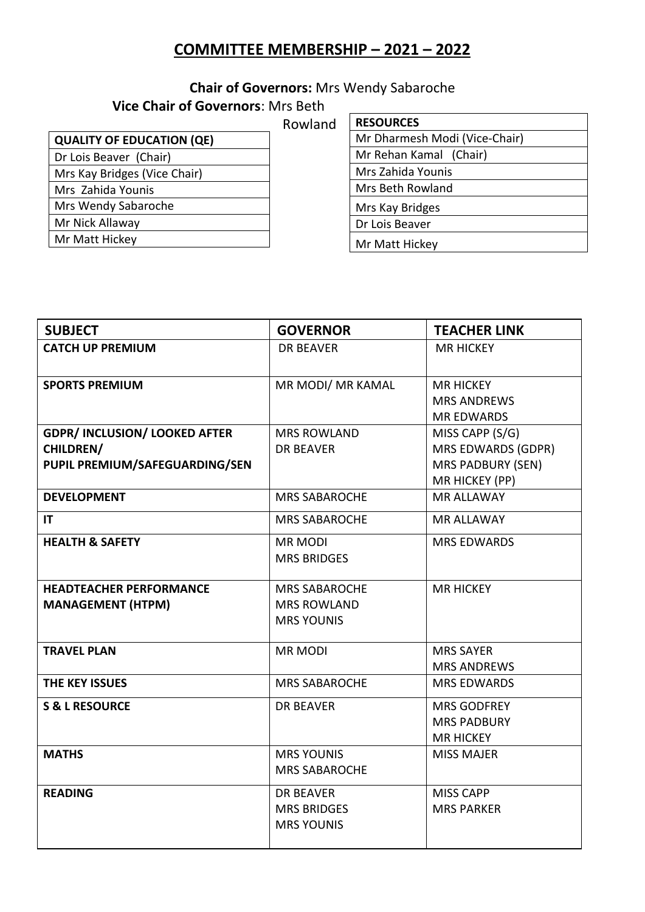# **COMMITTEE MEMBERSHIP – 2021 – 2022**

# **Chair of Governors:** Mrs Wendy Sabaroche

#### **Vice Chair of Governors**: Mrs Beth

 Rowland

| <b>QUALITY OF EDUCATION (QE)</b> |  |  |
|----------------------------------|--|--|
| Dr Lois Beaver (Chair)           |  |  |
| Mrs Kay Bridges (Vice Chair)     |  |  |
| Mrs Zahida Younis                |  |  |
| Mrs Wendy Sabaroche              |  |  |
| Mr Nick Allaway                  |  |  |
| Mr Matt Hickey                   |  |  |
|                                  |  |  |

| <b>RESOURCES</b>              |  |  |
|-------------------------------|--|--|
| Mr Dharmesh Modi (Vice-Chair) |  |  |
| Mr Rehan Kamal (Chair)        |  |  |
| Mrs Zahida Younis             |  |  |
| Mrs Beth Rowland              |  |  |
| Mrs Kay Bridges               |  |  |
| Dr Lois Beaver                |  |  |
| Mr Matt Hickey                |  |  |

| <b>SUBJECT</b>                                                                             | <b>GOVERNOR</b>                                                 | <b>TEACHER LINK</b>                                                          |
|--------------------------------------------------------------------------------------------|-----------------------------------------------------------------|------------------------------------------------------------------------------|
| <b>CATCH UP PREMIUM</b>                                                                    | <b>DR BEAVER</b>                                                | <b>MR HICKEY</b>                                                             |
| <b>SPORTS PREMIUM</b>                                                                      | MR MODI/ MR KAMAL                                               | <b>MR HICKEY</b><br><b>MRS ANDREWS</b><br><b>MR EDWARDS</b>                  |
| <b>GDPR/ INCLUSION/ LOOKED AFTER</b><br><b>CHILDREN/</b><br>PUPIL PREMIUM/SAFEGUARDING/SEN | <b>MRS ROWLAND</b><br><b>DR BEAVER</b>                          | MISS CAPP (S/G)<br>MRS EDWARDS (GDPR)<br>MRS PADBURY (SEN)<br>MR HICKEY (PP) |
| <b>DEVELOPMENT</b>                                                                         | <b>MRS SABAROCHE</b>                                            | <b>MR ALLAWAY</b>                                                            |
| IT                                                                                         | <b>MRS SABAROCHE</b>                                            | <b>MR ALLAWAY</b>                                                            |
| <b>HEALTH &amp; SAFETY</b>                                                                 | <b>MR MODI</b><br><b>MRS BRIDGES</b>                            | <b>MRS EDWARDS</b>                                                           |
| <b>HEADTEACHER PERFORMANCE</b><br><b>MANAGEMENT (HTPM)</b>                                 | <b>MRS SABAROCHE</b><br><b>MRS ROWLAND</b><br><b>MRS YOUNIS</b> | <b>MR HICKEY</b>                                                             |
| <b>TRAVEL PLAN</b>                                                                         | <b>MR MODI</b>                                                  | <b>MRS SAYER</b><br><b>MRS ANDREWS</b>                                       |
| THE KEY ISSUES                                                                             | <b>MRS SABAROCHE</b>                                            | <b>MRS EDWARDS</b>                                                           |
| <b>S &amp; L RESOURCE</b>                                                                  | <b>DR BEAVER</b>                                                | <b>MRS GODFREY</b><br><b>MRS PADBURY</b><br><b>MR HICKEY</b>                 |
| <b>MATHS</b>                                                                               | <b>MRS YOUNIS</b><br><b>MRS SABAROCHE</b>                       | <b>MISS MAJER</b>                                                            |
| <b>READING</b>                                                                             | <b>DR BEAVER</b><br><b>MRS BRIDGES</b><br><b>MRS YOUNIS</b>     | <b>MISS CAPP</b><br><b>MRS PARKER</b>                                        |